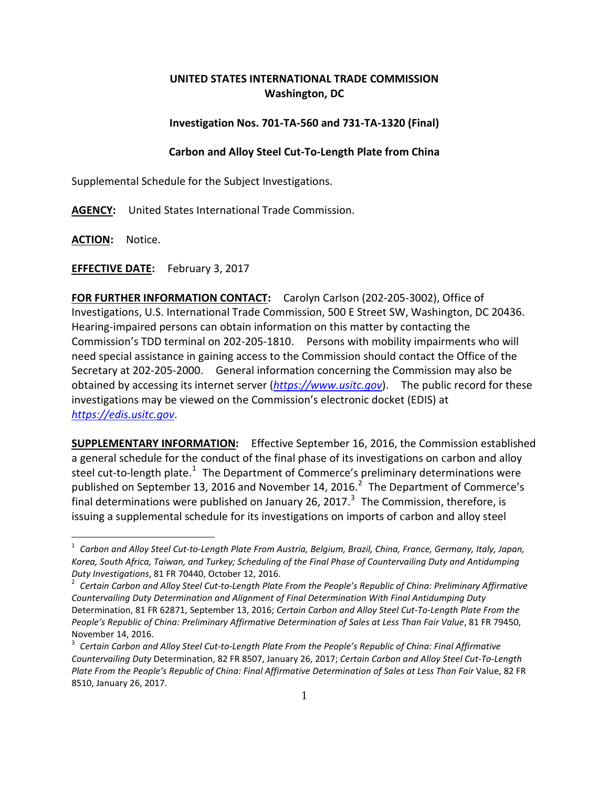## **UNITED STATES INTERNATIONAL TRADE COMMISSION Washington, DC**

## **Investigation Nos. 701-TA-560 and 731-TA-1320 (Final)**

## **Carbon and Alloy Steel Cut-To-Length Plate from China**

Supplemental Schedule for the Subject Investigations.

**AGENCY:** United States International Trade Commission.

**ACTION:** Notice.

**EFFECTIVE DATE:** February 3, 2017

**FOR FURTHER INFORMATION CONTACT:** Carolyn Carlson (202-205-3002), Office of Investigations, U.S. International Trade Commission, 500 E Street SW, Washington, DC 20436. Hearing-impaired persons can obtain information on this matter by contacting the Commission's TDD terminal on 202-205-1810. Persons with mobility impairments who will need special assistance in gaining access to the Commission should contact the Office of the Secretary at 202-205-2000. General information concerning the Commission may also be obtained by accessing its internet server (*[https://www.usitc.gov](https://www.usitc.gov/)*). The public record for these investigations may be viewed on the Commission's electronic docket (EDIS) at *[https://edis.usitc.gov](https://edis.usitc.gov/)*.

**SUPPLEMENTARY INFORMATION:** Effective September 16, 2016, the Commission established a general schedule for the conduct of the final phase of its investigations on carbon and alloy steel cut-to-length plate.<sup>[1](#page-0-0)</sup> The Department of Commerce's preliminary determinations were published on September 13, [2](#page-0-1)016 and November 14, 2016. $^2$  The Department of Commerce's final determinations were published on January 26, 2017. $^3$  $^3$  The Commission, therefore, is issuing a supplemental schedule for its investigations on imports of carbon and alloy steel

<span id="page-0-0"></span><sup>1</sup> *Carbon and Alloy Steel Cut-to-Length Plate From Austria, Belgium, Brazil, China, France, Germany, Italy, Japan, Korea, South Africa, Taiwan, and Turkey; Scheduling of the Final Phase of Countervailing Duty and Antidumping Duty Investigations*, 81 FR 70440, October 12, 2016. <sup>2</sup> *Certain Carbon and Alloy Steel Cut-to-Length Plate From the People's Republic of China: Preliminary Affirmative* 

<span id="page-0-1"></span>*Countervailing Duty Determination and Alignment of Final Determination With Final Antidumping Duty*  Determination, 81 FR 62871, September 13, 2016; *Certain Carbon and Alloy Steel Cut-To-Length Plate From the People's Republic of China: Preliminary Affirmative Determination of Sales at Less Than Fair Value*, 81 FR 79450, November 14, 2016.<br><sup>3</sup> *Certain Carbon and Alloy Steel Cut-to-Length Plate From the People's Republic of China: Final Affirmative* 

<span id="page-0-2"></span>*Countervailing Duty* Determination, 82 FR 8507, January 26, 2017; *Certain Carbon and Alloy Steel Cut-To-Length*  Plate From the People's Republic of China: Final Affirmative Determination of Sales at Less Than Fair Value, 82 FR 8510, January 26, 2017.